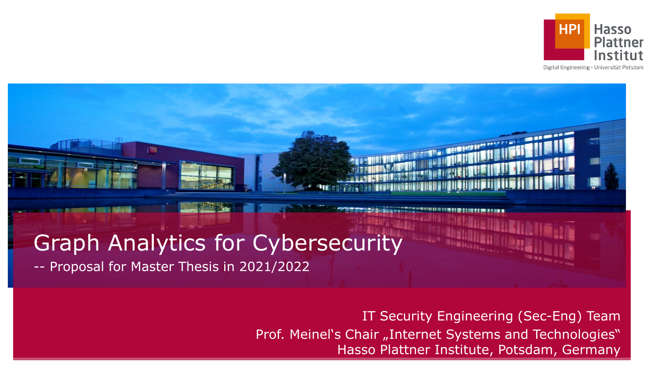

Digital Engineering · Universität Potsdam

# Graph Analytics for Cybersecurity

-- Proposal for Master Thesis in 2021/2022

圖

IT Security Engineering (Sec-Eng) Team Prof. Meinel's Chair "Internet Systems and Technologies" Hasso Plattner Institute, Potsdam, Germany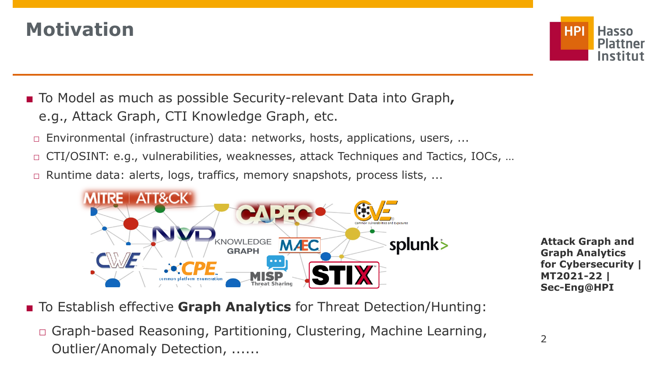### **Motivation**



- To Model as much as possible Security-relevant Data into Graph, e.g., Attack Graph, CTI Knowledge Graph, etc.
	- $\Box$  Environmental (infrastructure) data: networks, hosts, applications, users, ...
	- □ CTI/OSINT: e.g., vulnerabilities, weaknesses, attack Techniques and Tactics, IOCs, ...
	- □ Runtime data: alerts, logs, traffics, memory snapshots, process lists, ...



**Attack Graph and Graph Analytics for Cybersecurity | MT2021-22 | Sec-Eng@HPI**

- To Establish effective **Graph Analytics** for Threat Detection/Hunting:
	- □ Graph-based Reasoning, Partitioning, Clustering, Machine Learning, Outlier/Anomaly Detection, ......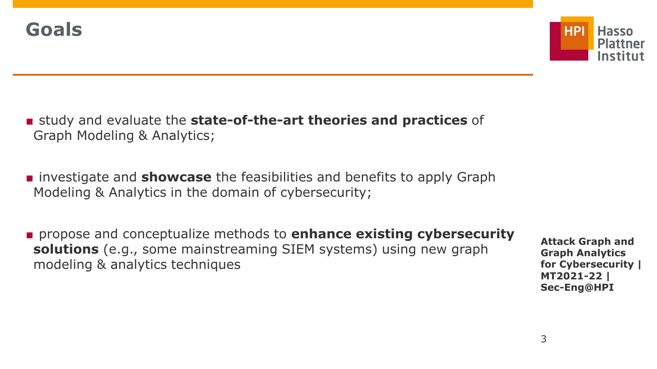

- study and evaluate the **state-of-the-art theories and practices** of Graph Modeling & Analytics;
- investigate and **showcase** the feasibilities and benefits to apply Graph Modeling & Analytics in the domain of cybersecurity;
- propose and conceptualize methods to **enhance existing cybersecurity solutions** (e.g., some mainstreaming SIEM systems) using new graph modeling & analytics techniques

**Attack Graph and Graph Analytics for Cybersecurity | MT2021-22 | Sec-Eng@HPI**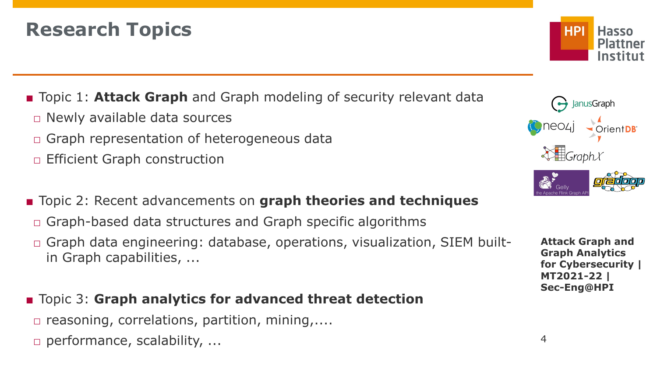### **Research Topics**

■ Topic 1: **Attack Graph** and Graph modeling of security relevant data  $\Box$  Newly available data sources □ Graph representation of heterogeneous data

□ Efficient Graph construction

- Topic 2: Recent advancements on **graph theories and techniques**
- $\Box$  Graph-based data structures and Graph specific algorithms
- □ Graph data engineering: database, operations, visualization, SIEM builtin Graph capabilities, ...
- Topic 3: **Graph analytics for advanced threat detection**  $\Box$  reasoning, correlations, partition, mining,.... □ performance, scalability, ...





**Attack Graph and Graph Analytics for Cybersecurity | MT2021-22 | Sec-Eng@HPI**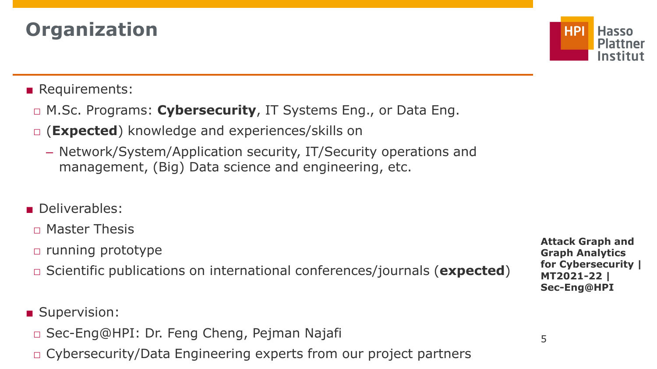## **Organization**



#### ■ Requirements:

- □ M.Sc. Programs: **Cybersecurity**, IT Systems Eng., or Data Eng.
- □ (**Expected**) knowledge and experiences/skills on
	- Network/System/Application security, IT/Security operations and management, (Big) Data science and engineering, etc.
- Deliverables:
- $\neg$  Master Thesis
- □ running prototype
- □ Scientific publications on international conferences/journals (**expected**)

■ Supervision:

- □ Sec-Eng@HPI: Dr. Feng Cheng, Pejman Najafi
- □ Cybersecurity/Data Engineering experts from our project partners

**Attack Graph and Graph Analytics for Cybersecurity | MT2021-22 | Sec-Eng@HPI**

5